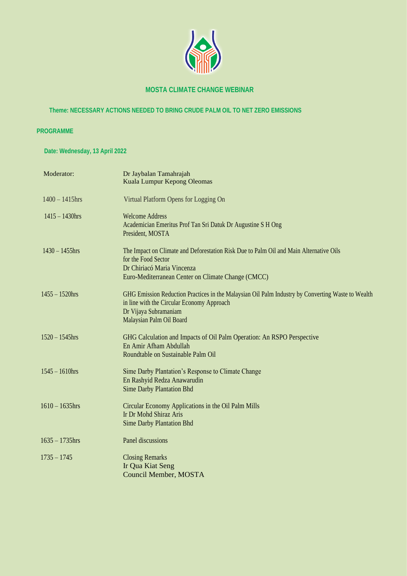

#### **MOSTA CLIMATE CHANGE WEBINAR**

#### **Theme: NECESSARY ACTIONS NEEDED TO BRING CRUDE PALM OIL TO NET ZERO EMISSIONS**

#### **PROGRAMME**

 **Date: Wednesday, 13 April 2022**

| Moderator:        | Dr Jaybalan Tamahrajah<br>Kuala Lumpur Kepong Oleomas                                                                                                                                                |
|-------------------|------------------------------------------------------------------------------------------------------------------------------------------------------------------------------------------------------|
| $1400 - 1415$ hrs | Virtual Platform Opens for Logging On                                                                                                                                                                |
| $1415 - 1430$ hrs | <b>Welcome Address</b><br>Academician Emeritus Prof Tan Sri Datuk Dr Augustine S H Ong<br>President, MOSTA                                                                                           |
| $1430 - 1455$ hrs | The Impact on Climate and Deforestation Risk Due to Palm Oil and Main Alternative Oils<br>for the Food Sector<br>Dr Chiriacó Maria Vincenza<br>Euro-Mediterranean Center on Climate Change (CMCC)    |
| $1455 - 1520$ hrs | GHG Emission Reduction Practices in the Malaysian Oil Palm Industry by Converting Waste to Wealth<br>in line with the Circular Economy Approach<br>Dr Vijaya Subramaniam<br>Malaysian Palm Oil Board |
| $1520 - 1545$ hrs | GHG Calculation and Impacts of Oil Palm Operation: An RSPO Perspective<br>En Amir Afham Abdullah<br>Roundtable on Sustainable Palm Oil                                                               |
| $1545 - 1610$ hrs | Sime Darby Plantation's Response to Climate Change<br>En Rashyid Redza Anawarudin<br><b>Sime Darby Plantation Bhd</b>                                                                                |
| $1610 - 1635$ hrs | Circular Economy Applications in the Oil Palm Mills<br>Ir Dr Mohd Shiraz Aris<br><b>Sime Darby Plantation Bhd</b>                                                                                    |
| $1635 - 1735$ hrs | Panel discussions                                                                                                                                                                                    |
| $1735 - 1745$     | <b>Closing Remarks</b><br>Ir Qua Kiat Seng<br><b>Council Member, MOSTA</b>                                                                                                                           |